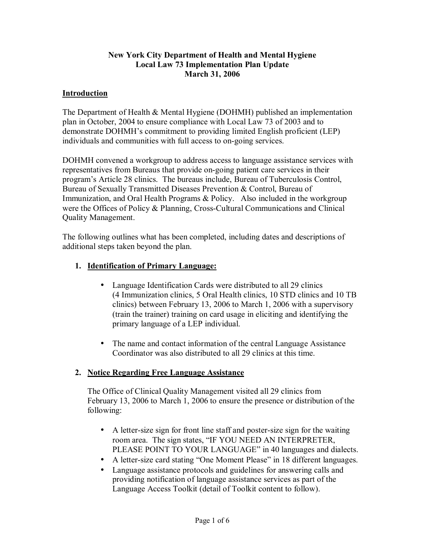#### **New York City Department of Health and Mental Hygiene Local Law 73 Implementation Plan Update March 31, 2006**

### **Introduction**

The Department of Health & Mental Hygiene (DOHMH) published an implementation plan in October, 2004 to ensure compliance with Local Law 73 of 2003 and to demonstrate DOHMH's commitment to providing limited English proficient (LEP) individuals and communities with full access to on-going services.

DOHMH convened a workgroup to address access to language assistance services with representatives from Bureaus that provide on-going patient care services in their programís Article 28 clinics. The bureaus include, Bureau of Tuberculosis Control, Bureau of Sexually Transmitted Diseases Prevention & Control, Bureau of Immunization, and Oral Health Programs & Policy. Also included in the workgroup were the Offices of Policy & Planning, Cross-Cultural Communications and Clinical Quality Management.

The following outlines what has been completed, including dates and descriptions of additional steps taken beyond the plan.

#### **1. Identification of Primary Language:**

- Language Identification Cards were distributed to all 29 clinics (4 Immunization clinics, 5 Oral Health clinics, 10 STD clinics and 10 TB clinics) between February 13, 2006 to March 1, 2006 with a supervisory (train the trainer) training on card usage in eliciting and identifying the primary language of a LEP individual.
- The name and contact information of the central Language Assistance Coordinator was also distributed to all 29 clinics at this time.

### **2. Notice Regarding Free Language Assistance**

The Office of Clinical Quality Management visited all 29 clinics from February 13, 2006 to March 1, 2006 to ensure the presence or distribution of the following:

- A letter-size sign for front line staff and poster-size sign for the waiting room area. The sign states, "IF YOU NEED AN INTERPRETER, PLEASE POINT TO YOUR LANGUAGE" in 40 languages and dialects.
- A letter-size card stating "One Moment Please" in 18 different languages.
- Language assistance protocols and guidelines for answering calls and providing notification of language assistance services as part of the Language Access Toolkit (detail of Toolkit content to follow).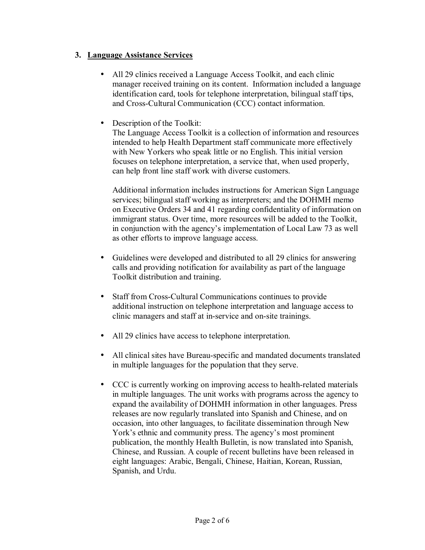### **3. Language Assistance Services**

- All 29 clinics received a Language Access Toolkit, and each clinic manager received training on its content. Information included a language identification card, tools for telephone interpretation, bilingual staff tips, and Cross-Cultural Communication (CCC) contact information.
- Description of the Toolkit:

The Language Access Toolkit is a collection of information and resources intended to help Health Department staff communicate more effectively with New Yorkers who speak little or no English. This initial version focuses on telephone interpretation, a service that, when used properly, can help front line staff work with diverse customers.

Additional information includes instructions for American Sign Language services; bilingual staff working as interpreters; and the DOHMH memo on Executive Orders 34 and 41 regarding confidentiality of information on immigrant status. Over time, more resources will be added to the Toolkit, in conjunction with the agency's implementation of Local Law 73 as well as other efforts to improve language access.

- Guidelines were developed and distributed to all 29 clinics for answering calls and providing notification for availability as part of the language Toolkit distribution and training.
- Staff from Cross-Cultural Communications continues to provide additional instruction on telephone interpretation and language access to clinic managers and staff at in-service and on-site trainings.
- All 29 clinics have access to telephone interpretation.
- All clinical sites have Bureau-specific and mandated documents translated in multiple languages for the population that they serve.
- CCC is currently working on improving access to health-related materials in multiple languages. The unit works with programs across the agency to expand the availability of DOHMH information in other languages. Press releases are now regularly translated into Spanish and Chinese, and on occasion, into other languages, to facilitate dissemination through New York's ethnic and community press. The agency's most prominent publication, the monthly Health Bulletin, is now translated into Spanish, Chinese, and Russian. A couple of recent bulletins have been released in eight languages: Arabic, Bengali, Chinese, Haitian, Korean, Russian, Spanish, and Urdu.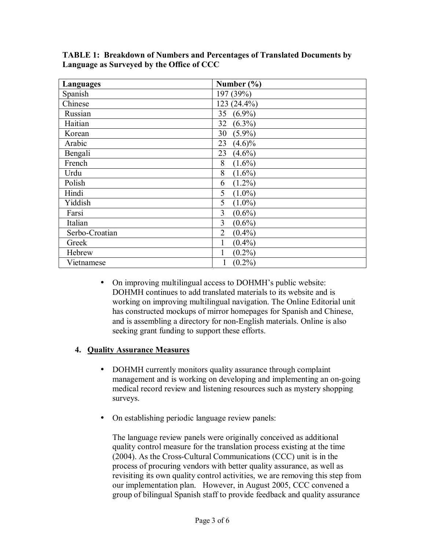| Languages      | Number $(\% )$              |
|----------------|-----------------------------|
| Spanish        | 197 (39%)                   |
| Chinese        | 123 (24.4%)                 |
| Russian        | $(6.9\%)$<br>35             |
| Haitian        | 32<br>$(6.3\%)$             |
| Korean         | $(5.9\%)$<br>30             |
| Arabic         | 23<br>$(4.6)\%$             |
| Bengali        | 23<br>$(4.6\%)$             |
| French         | 8<br>$(1.6\%)$              |
| Urdu           | 8<br>$(1.6\%)$              |
| Polish         | $(1.2\%)$<br>6              |
| Hindi          | 5<br>$(1.0\%)$              |
| Yiddish        | 5<br>$(1.0\%)$              |
| Farsi          | 3<br>$(0.6\%)$              |
| Italian        | 3<br>$(0.6\%)$              |
| Serbo-Croatian | $(0.4\%)$<br>$\overline{2}$ |
| Greek          | $(0.4\%)$<br>1              |
| Hebrew         | $(0.2\%)$                   |
| Vietnamese     | $(0.2\%)$<br>1              |

**TABLE 1: Breakdown of Numbers and Percentages of Translated Documents by Language as Surveyed by the Office of CCC** 

• On improving multilingual access to DOHMH's public website: DOHMH continues to add translated materials to its website and is working on improving multilingual navigation. The Online Editorial unit has constructed mockups of mirror homepages for Spanish and Chinese, and is assembling a directory for non-English materials. Online is also seeking grant funding to support these efforts.

### **4. Quality Assurance Measures**

- DOHMH currently monitors quality assurance through complaint management and is working on developing and implementing an on-going medical record review and listening resources such as mystery shopping surveys.
- On establishing periodic language review panels:

The language review panels were originally conceived as additional quality control measure for the translation process existing at the time (2004). As the Cross-Cultural Communications (CCC) unit is in the process of procuring vendors with better quality assurance, as well as revisiting its own quality control activities, we are removing this step from our implementation plan. However, in August 2005, CCC convened a group of bilingual Spanish staff to provide feedback and quality assurance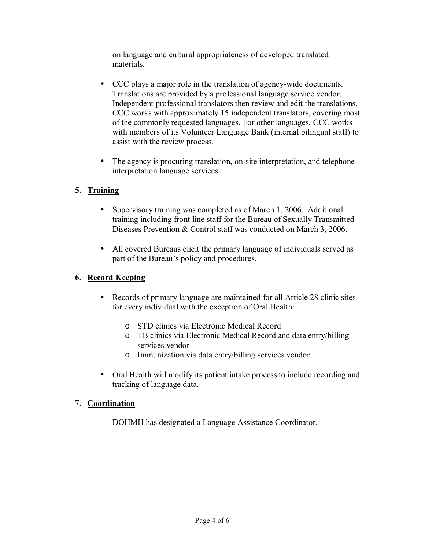on language and cultural appropriateness of developed translated materials.

- CCC plays a major role in the translation of agency-wide documents. Translations are provided by a professional language service vendor. Independent professional translators then review and edit the translations. CCC works with approximately 15 independent translators, covering most of the commonly requested languages. For other languages, CCC works with members of its Volunteer Language Bank (internal bilingual staff) to assist with the review process.
- The agency is procuring translation, on-site interpretation, and telephone interpretation language services.

# **5. Training**

- Supervisory training was completed as of March 1, 2006. Additional training including front line staff for the Bureau of Sexually Transmitted Diseases Prevention & Control staff was conducted on March 3, 2006.
- All covered Bureaus elicit the primary language of individuals served as part of the Bureau's policy and procedures.

## **6. Record Keeping**

- Records of primary language are maintained for all Article 28 clinic sites for every individual with the exception of Oral Health:
	- o STD clinics via Electronic Medical Record
	- o TB clinics via Electronic Medical Record and data entry/billing services vendor
	- o Immunization via data entry/billing services vendor
- Oral Health will modify its patient intake process to include recording and tracking of language data.

## **7. Coordination**

DOHMH has designated a Language Assistance Coordinator.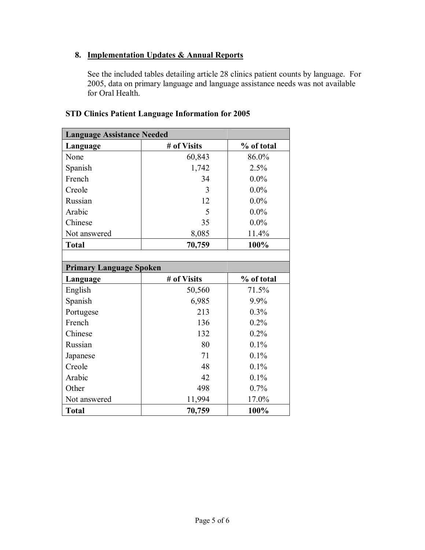# **8. Implementation Updates & Annual Reports**

See the included tables detailing article 28 clinics patient counts by language. For 2005, data on primary language and language assistance needs was not available for Oral Health.

| <b>Language Assistance Needed</b> |             |            |  |  |
|-----------------------------------|-------------|------------|--|--|
| Language                          | # of Visits | % of total |  |  |
| None                              | 60,843      | 86.0%      |  |  |
| Spanish                           | 1,742       | 2.5%       |  |  |
| French                            | 34          | $0.0\%$    |  |  |
| Creole                            | 3           | $0.0\%$    |  |  |
| Russian                           | 12          | $0.0\%$    |  |  |
| Arabic                            | 5           | $0.0\%$    |  |  |
| Chinese                           | 35          | $0.0\%$    |  |  |
| Not answered                      | 8,085       | 11.4%      |  |  |
| <b>Total</b>                      | 70,759      | 100%       |  |  |
|                                   |             |            |  |  |
| <b>Primary Language Spoken</b>    |             |            |  |  |
|                                   |             |            |  |  |
| Language                          | # of Visits | % of total |  |  |
| English                           | 50,560      | 71.5%      |  |  |
| Spanish                           | 6,985       | 9.9%       |  |  |
| Portugese                         | 213         | 0.3%       |  |  |
| French                            | 136         | 0.2%       |  |  |
| Chinese                           | 132         | 0.2%       |  |  |
| Russian                           | 80          | 0.1%       |  |  |
| Japanese                          | 71          | 0.1%       |  |  |
| Creole                            | 48          | 0.1%       |  |  |
| Arabic                            | 42          | 0.1%       |  |  |
| Other                             | 498         | 0.7%       |  |  |
| Not answered                      | 11,994      | 17.0%      |  |  |

## **STD Clinics Patient Language Information for 2005**